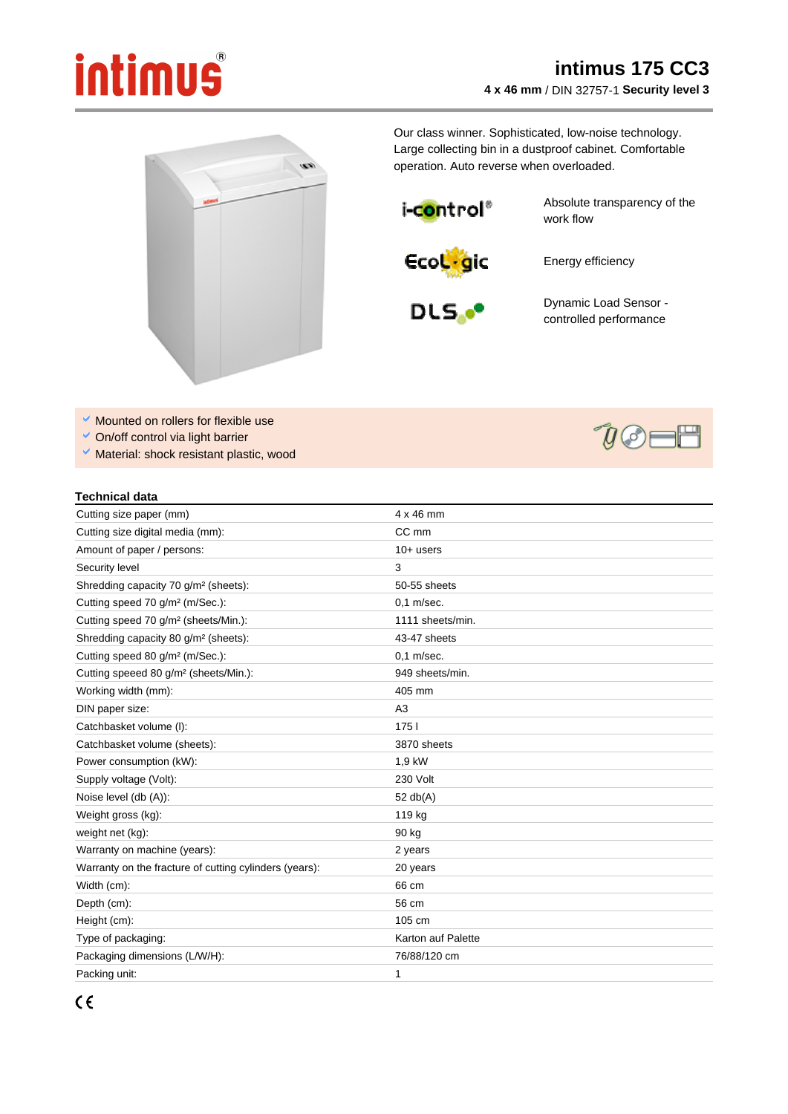## intimus

## **intimus 175 CC3 4 x 46 mm** / DIN 32757-1 **Security level 3**



Our class winner. Sophisticated, low-noise technology. Large collecting bin in a dustproof cabinet. Comfortable operation. Auto reverse when overloaded.

i-control®

Absolute transparency of the work flow



Energy efficiency



Dynamic Load Sensor controlled performance

 $y\otimes y$ 

- Mounted on rollers for flexible use
- On/off control via light barrier
- $\checkmark$  Material: shock resistant plastic, wood

## **Technical data**

| Cutting size paper (mm)                                | $4 \times 46$ mm   |
|--------------------------------------------------------|--------------------|
| Cutting size digital media (mm):                       | CC mm              |
| Amount of paper / persons:                             | $10+$ users        |
| Security level                                         | 3                  |
| Shredding capacity 70 g/m <sup>2</sup> (sheets):       | 50-55 sheets       |
| Cutting speed 70 g/m <sup>2</sup> (m/Sec.):            | $0.1$ m/sec.       |
| Cutting speed 70 g/m <sup>2</sup> (sheets/Min.):       | 1111 sheets/min.   |
| Shredding capacity 80 g/m <sup>2</sup> (sheets):       | 43-47 sheets       |
| Cutting speed 80 g/m <sup>2</sup> (m/Sec.):            | $0,1$ m/sec.       |
| Cutting speeed 80 g/m <sup>2</sup> (sheets/Min.):      | 949 sheets/min.    |
| Working width (mm):                                    | 405 mm             |
| DIN paper size:                                        | A3                 |
| Catchbasket volume (I):                                | 1751               |
| Catchbasket volume (sheets):                           | 3870 sheets        |
| Power consumption (kW):                                | 1,9 kW             |
| Supply voltage (Volt):                                 | 230 Volt           |
| Noise level (db (A)):                                  | 52 $db(A)$         |
| Weight gross (kg):                                     | 119 kg             |
| weight net (kg):                                       | 90 kg              |
| Warranty on machine (years):                           | 2 years            |
| Warranty on the fracture of cutting cylinders (years): | 20 years           |
| Width (cm):                                            | 66 cm              |
| Depth (cm):                                            | 56 cm              |
| Height (cm):                                           | 105 cm             |
| Type of packaging:                                     | Karton auf Palette |
| Packaging dimensions (L/W/H):                          | 76/88/120 cm       |
| Packing unit:                                          | 1                  |